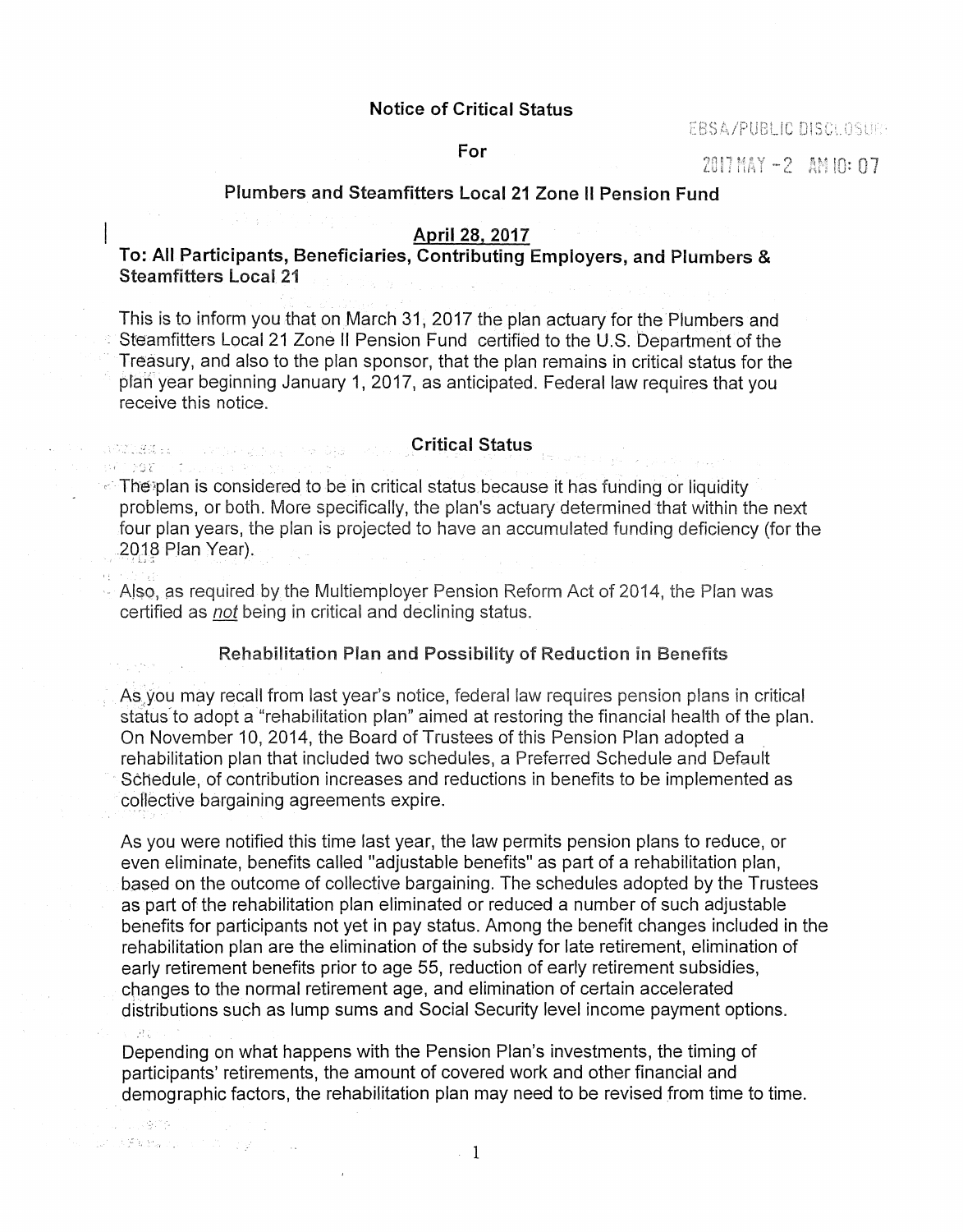#### Notice of Critical Status

EBSA/PUBLIC

### For

 $2017$  MAY  $-2$  AM 10: 07

### Plumbers and Steamfitters Local 21 Zone II Pension Fund

#### April 28, 2017

To: All Participants, Beneficiaries, Contributing Employers, and Plumbers & Steamfitters Local 21

This is to inform you that on March 31, 2017 the plan actuary for the Plumbers and . Steamfitters Local 21 Zone II Pension Fund certified to the U.S. Department of the Treasury, and also to the plan sponsor, that the plan remains in critical status for the pfan year beginning January 1, 2017, as anticipated. Federal law requires that you receive this notice.

#### Critical Status

**ANG PARAGE ANG PAR** 

NG MARABATAN

1. 19473

AS was a common and pro-

 $\sim$  10  $\mu$ 

 $\sim$  The plan is considered to be in critical status because it has funding or liquidity problems, or both. More specifically, the plan's actuary determined that within the next four plan years, the plan is projected to have an accumulated funding deficiency (for the 2018 Plan Year).

·· Also, as required by the Multiemployer Pension Reform Act of 2014, the Plan was certified as not being in critical and declining status.

### Rehabilitation Plan and Possibility of Reduction in Benefits

As you may recall from last year's notice, federal law requires pension plans in critical status to adopt a "rehabilitation plan" aimed at restoring the financial health of the plan. On November 10, 2014, the Board of Trustees of this Pension Plan adopted a rehabilitation plan that included two schedules, a Preferred Schedule and Default Schedule, of contribution increases and reductions in benefits to be implemented as collective bargaining agreements expire.

As you were notified this time last year, the law permits pension plans to reduce, or even eliminate, benefits called "adjustable benefits" as part of a rehabilitation plan, based on the outcome of collective bargaining. The schedules adopted by the Trustees as part of the rehabilitation plan eliminated or reduced a number of such adjustable benefits for participants not yet in pay status. Among the benefit changes included in the rehabilitation plan are the elimination of the subsidy for late retirement, elimination of early retirement benefits prior to age 55, reduction of early retirement subsidies, changes to the normal retirement age, and elimination of certain accelerated distributions such as lump sums and Social Security level income payment options.

Depending on what happens with the Pension Plan's investments, the timing of participants' retirements, the amount of covered work and other financial and demographic factors, the rehabilitation plan may need to be revised from time to time.

1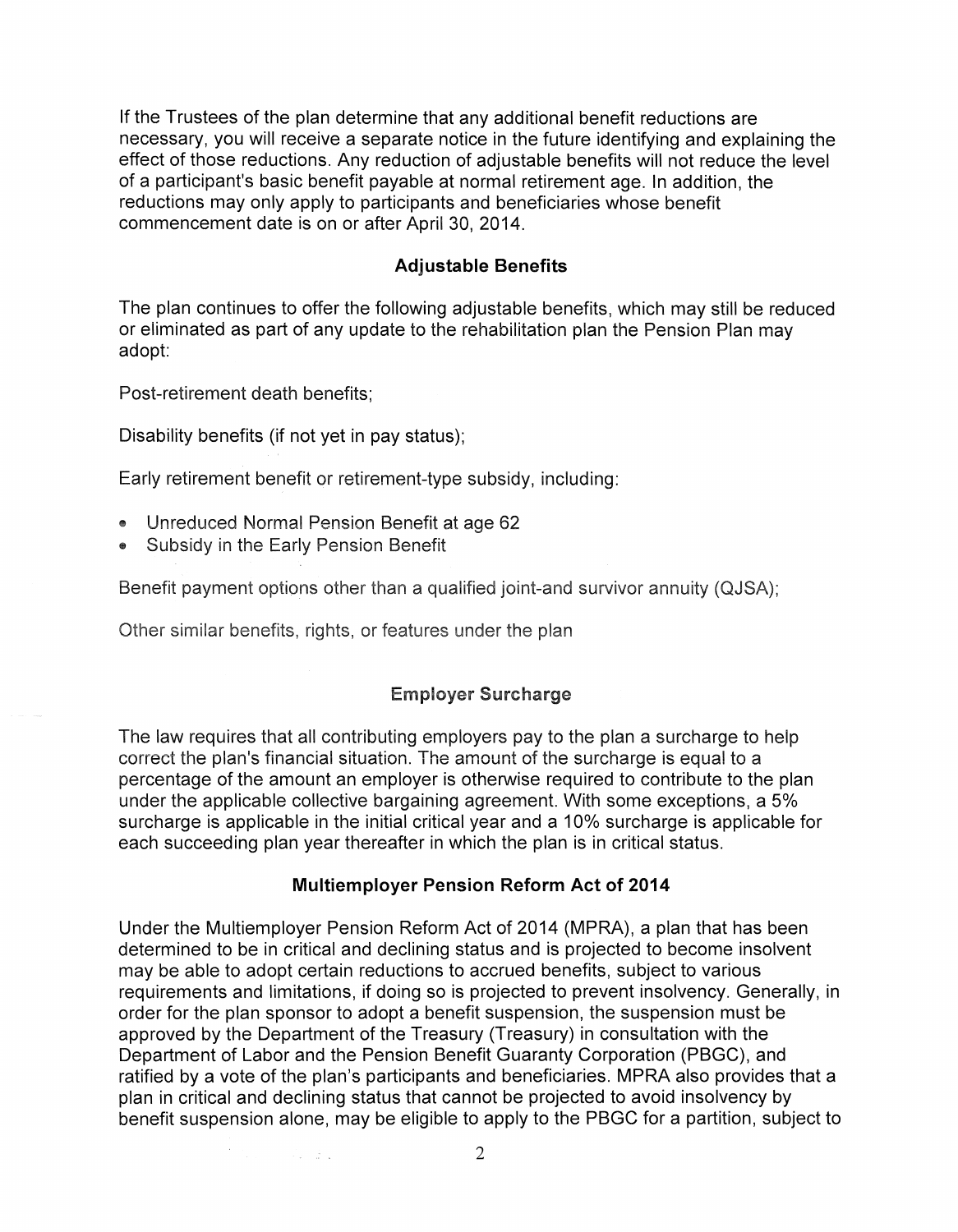If the Trustees of the plan determine that any additional benefit reductions are necessary, you will receive a separate notice in the future identifying and explaining the effect of those reductions. Any reduction of adjustable benefits will not reduce the level of a participant's basic benefit payable at normal retirement age. In addition, the reductions may only apply to participants and beneficiaries whose benefit commencement date is on or after April 30, 2014.

# **Adjustable Benefits**

The plan continues to offer the following adjustable benefits, which may still be reduced or eliminated as part of any update to the rehabilitation plan the Pension Plan may adopt:

Post-retirement death benefits;

Disability benefits (if not yet in pay status);

Early retirement benefit or retirement-type subsidy, including:

Unreduced Normal Pension Benefit at age 62

-25

**Subsidy in the Early Pension Benefit** 

Benefit payment options other than a qualified joint-and survivor annuity (QJSA);

Other similar benefits, rights, or features under the plan

# Employer Surcharge

The law requires that all contributing employers pay to the plan a surcharge to help correct the plan's financial situation. The amount of the surcharge is equal to a percentage of the amount an employer is otherwise required to contribute to the plan under the applicable collective bargaining agreement. With some exceptions, a 5% surcharge is applicable in the initial critical year and a 10% surcharge is applicable for each succeeding plan year thereafter in which the plan is in critical status.

### **Multiemployer Pension Reform Act of 2014**

Under the Multiemployer Pension Reform Act of 2014 (MPRA), a plan that has been determined to be in critical and declining status and is projected to become insolvent may be able to adopt certain reductions to accrued benefits, subject to various requirements and limitations, if doing so is projected to prevent insolvency. Generally, in order for the plan sponsor to adopt a benefit suspension, the suspension must be approved by the Department of the Treasury (Treasury) in consultation with the Department of Labor and the Pension Benefit Guaranty Corporation (PBGC), and ratified by a vote of the plan's participants and beneficiaries. MPRA also provides that a plan in critical and declining status that cannot be projected to avoid insolvency by benefit suspension alone, may be eligible to apply to the PBGC for a partition, subject to